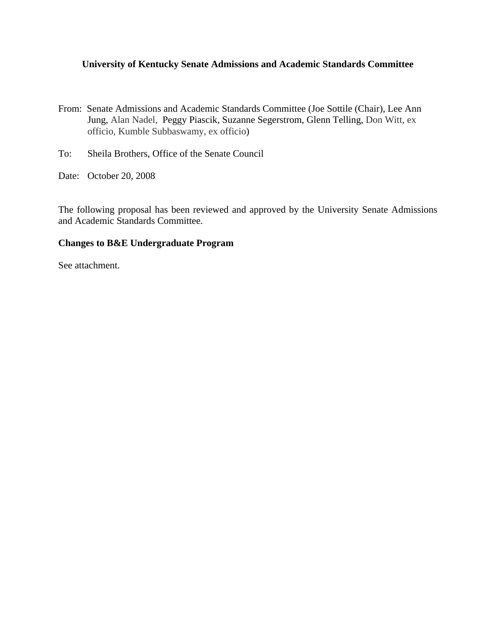## **University of Kentucky Senate Admissions and Academic Standards Committee**

- From: Senate Admissions and Academic Standards Committee (Joe Sottile (Chair), Lee Ann Jung, Alan Nadel, Peggy Piascik, Suzanne Segerstrom, Glenn Telling, Don Witt, ex officio, Kumble Subbaswamy, ex officio)
- To: Sheila Brothers, Office of the Senate Council
- Date: October 20, 2008

The following proposal has been reviewed and approved by the University Senate Admissions and Academic Standards Committee.

## **Changes to B&E Undergraduate Program**

See attachment.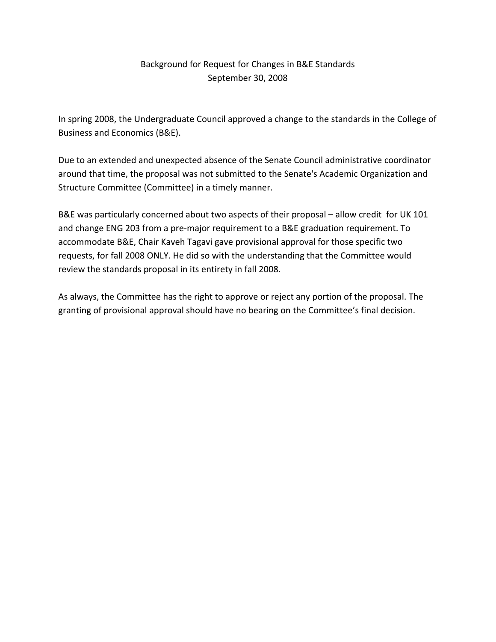## Background for Request for Changes in B&E Standards September 30, 2008

In spring 2008, the Undergraduate Council approved a change to the standards in the College of Business and Economics (B&E).

Due to an extended and unexpected absence of the Senate Council administrative coordinator around that time, the proposal was not submitted to the Senate's Academic Organization and Structure Committee (Committee) in a timely manner.

B&E was particularly concerned about two aspects of their proposal – allow credit for UK 101 and change ENG 203 from a pre‐major requirement to a B&E graduation requirement. To accommodate B&E, Chair Kaveh Tagavi gave provisional approval for those specific two requests, for fall 2008 ONLY. He did so with the understanding that the Committee would review the standards proposal in its entirety in fall 2008.

As always, the Committee has the right to approve or reject any portion of the proposal. The granting of provisional approval should have no bearing on the Committee's final decision.